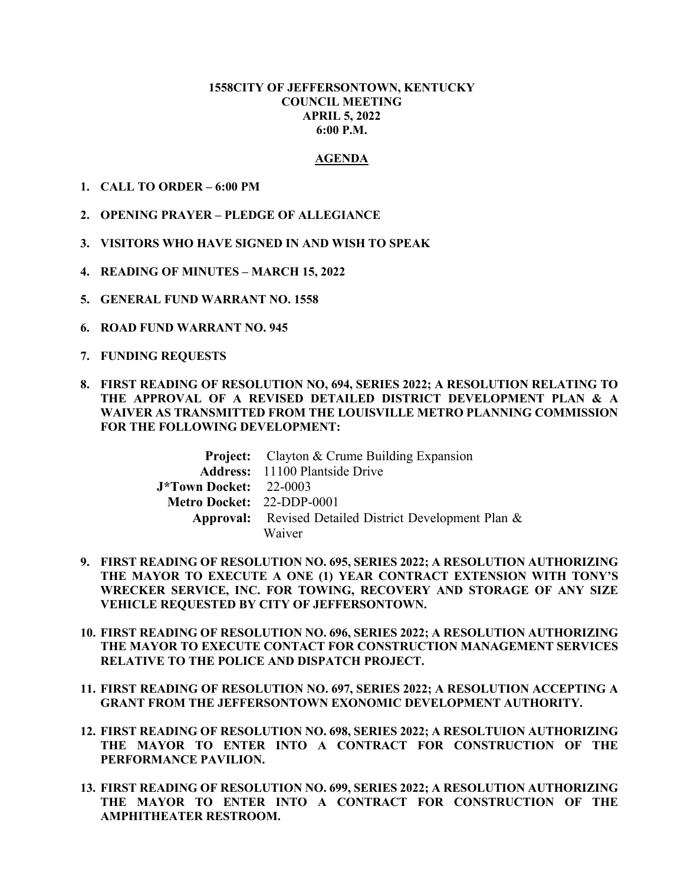### **1558CITY OF JEFFERSONTOWN, KENTUCKY COUNCIL MEETING APRIL 5, 2022 6:00 P.M.**

#### **AGENDA**

- **1. CALL TO ORDER 6:00 PM**
- **2. OPENING PRAYER PLEDGE OF ALLEGIANCE**
- **3. VISITORS WHO HAVE SIGNED IN AND WISH TO SPEAK**
- **4. READING OF MINUTES MARCH 15, 2022**
- **5. GENERAL FUND WARRANT NO. 1558**
- **6. ROAD FUND WARRANT NO. 945**
- **7. FUNDING REQUESTS**
- **8. FIRST READING OF RESOLUTION NO, 694, SERIES 2022; A RESOLUTION RELATING TO THE APPROVAL OF A REVISED DETAILED DISTRICT DEVELOPMENT PLAN & A WAIVER AS TRANSMITTED FROM THE LOUISVILLE METRO PLANNING COMMISSION FOR THE FOLLOWING DEVELOPMENT:**

|                               | <b>Project:</b> Clayton & Crume Building Expansion            |
|-------------------------------|---------------------------------------------------------------|
|                               | <b>Address:</b> 11100 Plantside Drive                         |
| <b>J*Town Docket:</b> 22-0003 |                                                               |
| Metro Docket: 22-DDP-0001     |                                                               |
|                               | <b>Approval:</b> Revised Detailed District Development Plan & |
|                               | Waiver                                                        |

- **9. FIRST READING OF RESOLUTION NO. 695, SERIES 2022; A RESOLUTION AUTHORIZING THE MAYOR TO EXECUTE A ONE (1) YEAR CONTRACT EXTENSION WITH TONY'S WRECKER SERVICE, INC. FOR TOWING, RECOVERY AND STORAGE OF ANY SIZE VEHICLE REQUESTED BY CITY OF JEFFERSONTOWN.**
- **10. FIRST READING OF RESOLUTION NO. 696, SERIES 2022; A RESOLUTION AUTHORIZING THE MAYOR TO EXECUTE CONTACT FOR CONSTRUCTION MANAGEMENT SERVICES RELATIVE TO THE POLICE AND DISPATCH PROJECT.**
- **11. FIRST READING OF RESOLUTION NO. 697, SERIES 2022; A RESOLUTION ACCEPTING A GRANT FROM THE JEFFERSONTOWN EXONOMIC DEVELOPMENT AUTHORITY.**
- **12. FIRST READING OF RESOLUTION NO. 698, SERIES 2022; A RESOLTUION AUTHORIZING THE MAYOR TO ENTER INTO A CONTRACT FOR CONSTRUCTION OF THE PERFORMANCE PAVILION.**
- **13. FIRST READING OF RESOLUTION NO. 699, SERIES 2022; A RESOLUTION AUTHORIZING THE MAYOR TO ENTER INTO A CONTRACT FOR CONSTRUCTION OF THE AMPHITHEATER RESTROOM.**